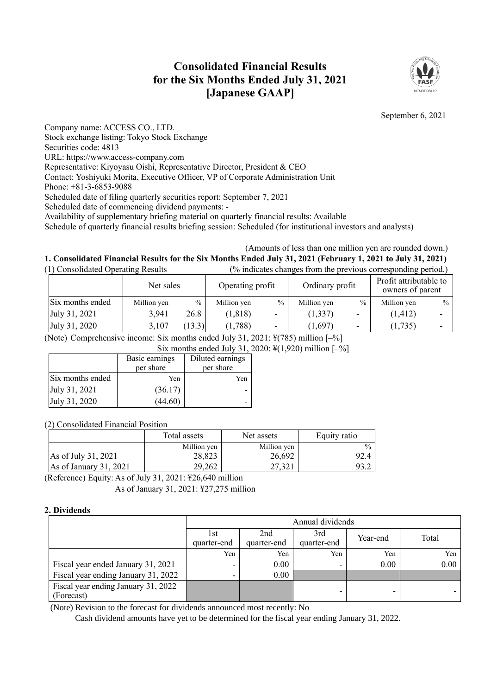# **Consolidated Financial Results for the Six Months Ended July 31, 2021 [Japanese GAAP]**



September 6, 2021

Company name: ACCESS CO., LTD. Stock exchange listing: Tokyo Stock Exchange Securities code: 4813

URL: https://www.access-company.com

Representative: Kiyoyasu Oishi, Representative Director, President & CEO

Contact: Yoshiyuki Morita, Executive Officer, VP of Corporate Administration Unit

Phone: +81-3-6853-9088

Scheduled date of filing quarterly securities report: September 7, 2021

Scheduled date of commencing dividend payments: -

Availability of supplementary briefing material on quarterly financial results: Available

Schedule of quarterly financial results briefing session: Scheduled (for institutional investors and analysts)

### (Amounts of less than one million yen are rounded down.) **1. Consolidated Financial Results for the Six Months Ended July 31, 2021 (February 1, 2021 to July 31, 2021)** (1) Consolidated Operating Results (% indicates changes from the previous corresponding period.)

| 17 Compondated Operating Reparts |             |        | o marcates changes from the previous corresponding period. |                          |                 |               |                                            |               |
|----------------------------------|-------------|--------|------------------------------------------------------------|--------------------------|-----------------|---------------|--------------------------------------------|---------------|
|                                  | Net sales   |        | Operating profit                                           |                          | Ordinary profit |               | Profit attributable to<br>owners of parent |               |
| Six months ended                 | Million yen | $\%$   | Million yen                                                | $\frac{0}{0}$            | Million yen     | $\frac{0}{0}$ | Million yen                                | $\frac{0}{0}$ |
| July 31, 2021                    | 3,941       | 26.8   | (1, 818)                                                   | $\overline{\phantom{0}}$ | (1, 337)        |               | (1, 412)                                   | -             |
| July 31, 2020                    | 3,107       | (13.3) | (1,788)                                                    | ٠                        | (1,697)         |               | (1,735)                                    | -             |

(Note) Comprehensive income: Six months ended July 31, 2021: ¥(785) million [–%]

|                  | Basic earnings<br>per share | Diluted earnings<br>per share |
|------------------|-----------------------------|-------------------------------|
| Six months ended | Yen                         | Yen                           |
| July 31, 2021    | (36.17)                     |                               |
| July 31, 2020    | (44.60)                     |                               |

(2) Consolidated Financial Position

|                        | Total assets | Net assets  | Equity ratio  |
|------------------------|--------------|-------------|---------------|
|                        | Million yen  | Million yen | $\frac{0}{0}$ |
| As of July 31, 2021    | 28,823       | 26,692      | 92.4          |
| As of January 31, 2021 | 29.262       | 27.321      | 93. $\angle$  |

(Reference) Equity: As of July 31, 2021: ¥26,640 million As of January 31, 2021: ¥27,275 million

## **2. Dividends**

|                                                   | Annual dividends    |                                                      |                          |      |      |  |  |
|---------------------------------------------------|---------------------|------------------------------------------------------|--------------------------|------|------|--|--|
|                                                   | l st<br>quarter-end | 2nd<br>3rd<br>Year-end<br>quarter-end<br>quarter-end |                          |      |      |  |  |
|                                                   | Yen                 | Yen                                                  | Yen                      | Yen  | Yen  |  |  |
| Fiscal year ended January 31, 2021                |                     | 0.00                                                 | $\overline{\phantom{0}}$ | 0.00 | 0.00 |  |  |
| Fiscal year ending January 31, 2022               |                     | 0.00                                                 |                          |      |      |  |  |
| Fiscal year ending January 31, 2022<br>(Forecast) |                     |                                                      |                          |      |      |  |  |

(Note) Revision to the forecast for dividends announced most recently: No

Cash dividend amounts have yet to be determined for the fiscal year ending January 31, 2022.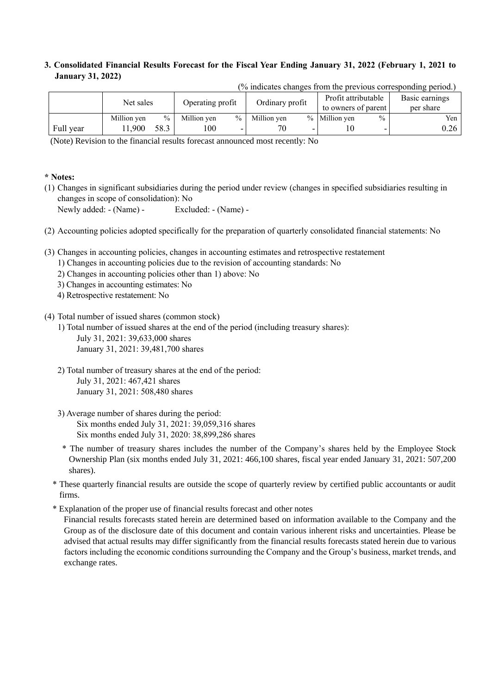## **3. Consolidated Financial Results Forecast for the Fiscal Year Ending January 31, 2022 (February 1, 2021 to January 31, 2022)**

| 70 marcales changes from the previous corresponding period.) |             |                  |             |                 |             |                     |                     |                |           |
|--------------------------------------------------------------|-------------|------------------|-------------|-----------------|-------------|---------------------|---------------------|----------------|-----------|
| Net sales                                                    |             | Operating profit |             | Ordinary profit |             | Profit attributable |                     | Basic earnings |           |
|                                                              |             |                  |             |                 |             |                     | to owners of parent |                | per share |
|                                                              | Million yen | $\frac{0}{0}$    | Million yen | $\%$            | Million yen |                     | % Million yen       | $\%$           | Yen       |
| Full year                                                    | 1,900       | 58.3             | 100         |                 |             |                     |                     |                | 0.26      |

 $\frac{1}{2}$  (% indicates changes from the previous corresponding period.)

(Note) Revision to the financial results forecast announced most recently: No

## **\* Notes:**

(1) Changes in significant subsidiaries during the period under review (changes in specified subsidiaries resulting in changes in scope of consolidation): No

Newly added: - (Name) - Excluded: - (Name) -

- (2) Accounting policies adopted specifically for the preparation of quarterly consolidated financial statements: No
- (3) Changes in accounting policies, changes in accounting estimates and retrospective restatement
	- 1) Changes in accounting policies due to the revision of accounting standards: No
	- 2) Changes in accounting policies other than 1) above: No
	- 3) Changes in accounting estimates: No
	- 4) Retrospective restatement: No
- (4) Total number of issued shares (common stock)
	- 1) Total number of issued shares at the end of the period (including treasury shares): July 31, 2021: 39,633,000 shares January 31, 2021: 39,481,700 shares
	- 2) Total number of treasury shares at the end of the period: July 31, 2021: 467,421 shares January 31, 2021: 508,480 shares
	- 3) Average number of shares during the period: Six months ended July 31, 2021: 39,059,316 shares Six months ended July 31, 2020: 38,899,286 shares
	- \* The number of treasury shares includes the number of the Company's shares held by the Employee Stock Ownership Plan (six months ended July 31, 2021: 466,100 shares, fiscal year ended January 31, 2021: 507,200 shares).
	- \* These quarterly financial results are outside the scope of quarterly review by certified public accountants or audit firms.
	- \* Explanation of the proper use of financial results forecast and other notes

Financial results forecasts stated herein are determined based on information available to the Company and the Group as of the disclosure date of this document and contain various inherent risks and uncertainties. Please be advised that actual results may differ significantly from the financial results forecasts stated herein due to various factors including the economic conditions surrounding the Company and the Group's business, market trends, and exchange rates.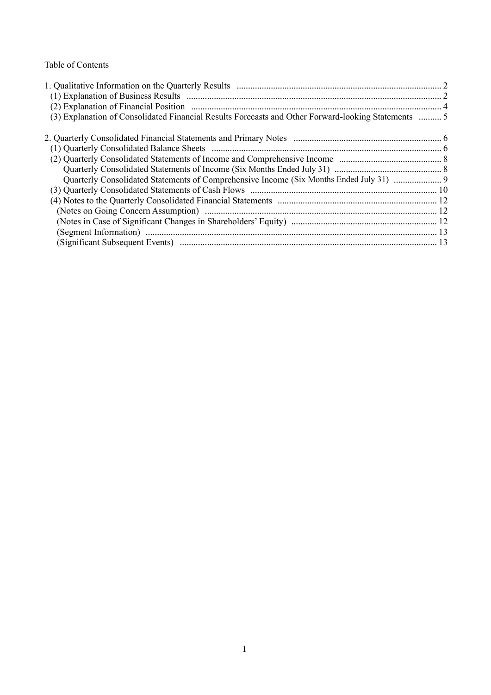Table of Contents

| (3) Explanation of Consolidated Financial Results Forecasts and Other Forward-looking Statements  5 |  |
|-----------------------------------------------------------------------------------------------------|--|
|                                                                                                     |  |
|                                                                                                     |  |
|                                                                                                     |  |
|                                                                                                     |  |
| Quarterly Consolidated Statements of Comprehensive Income (Six Months Ended July 31)                |  |
|                                                                                                     |  |
|                                                                                                     |  |
|                                                                                                     |  |
|                                                                                                     |  |
|                                                                                                     |  |
|                                                                                                     |  |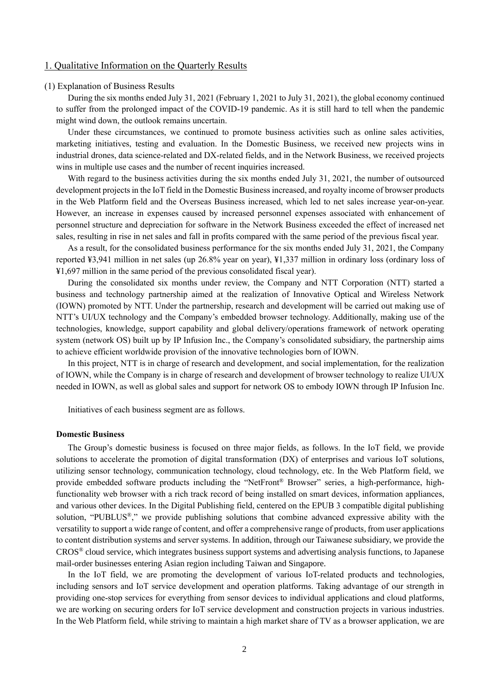## 1. Qualitative Information on the Quarterly Results

### (1) Explanation of Business Results

During the six months ended July 31, 2021 (February 1, 2021 to July 31, 2021), the global economy continued to suffer from the prolonged impact of the COVID-19 pandemic. As it is still hard to tell when the pandemic might wind down, the outlook remains uncertain.

Under these circumstances, we continued to promote business activities such as online sales activities, marketing initiatives, testing and evaluation. In the Domestic Business, we received new projects wins in industrial drones, data science-related and DX-related fields, and in the Network Business, we received projects wins in multiple use cases and the number of recent inquiries increased.

With regard to the business activities during the six months ended July 31, 2021, the number of outsourced development projects in the IoT field in the Domestic Business increased, and royalty income of browser products in the Web Platform field and the Overseas Business increased, which led to net sales increase year-on-year. However, an increase in expenses caused by increased personnel expenses associated with enhancement of personnel structure and depreciation for software in the Network Business exceeded the effect of increased net sales, resulting in rise in net sales and fall in profits compared with the same period of the previous fiscal year.

As a result, for the consolidated business performance for the six months ended July 31, 2021, the Company reported ¥3,941 million in net sales (up 26.8% year on year), ¥1,337 million in ordinary loss (ordinary loss of ¥1,697 million in the same period of the previous consolidated fiscal year).

During the consolidated six months under review, the Company and NTT Corporation (NTT) started a business and technology partnership aimed at the realization of Innovative Optical and Wireless Network (IOWN) promoted by NTT. Under the partnership, research and development will be carried out making use of NTT's UI/UX technology and the Company's embedded browser technology. Additionally, making use of the technologies, knowledge, support capability and global delivery/operations framework of network operating system (network OS) built up by IP Infusion Inc., the Company's consolidated subsidiary, the partnership aims to achieve efficient worldwide provision of the innovative technologies born of IOWN.

In this project, NTT is in charge of research and development, and social implementation, for the realization of IOWN, while the Company is in charge of research and development of browser technology to realize UI/UX needed in IOWN, as well as global sales and support for network OS to embody IOWN through IP Infusion Inc.

Initiatives of each business segment are as follows.

### **Domestic Business**

The Group's domestic business is focused on three major fields, as follows. In the IoT field, we provide solutions to accelerate the promotion of digital transformation (DX) of enterprises and various IoT solutions, utilizing sensor technology, communication technology, cloud technology, etc. In the Web Platform field, we provide embedded software products including the "NetFront® Browser" series, a high-performance, highfunctionality web browser with a rich track record of being installed on smart devices, information appliances, and various other devices. In the Digital Publishing field, centered on the EPUB 3 compatible digital publishing solution, "PUBLUS®," we provide publishing solutions that combine advanced expressive ability with the versatility to support a wide range of content, and offer a comprehensive range of products, from user applications to content distribution systems and server systems. In addition, through our Taiwanese subsidiary, we provide the CROS® cloud service, which integrates business support systems and advertising analysis functions, to Japanese mail-order businesses entering Asian region including Taiwan and Singapore.

In the IoT field, we are promoting the development of various IoT-related products and technologies, including sensors and IoT service development and operation platforms. Taking advantage of our strength in providing one-stop services for everything from sensor devices to individual applications and cloud platforms, we are working on securing orders for IoT service development and construction projects in various industries. In the Web Platform field, while striving to maintain a high market share of TV as a browser application, we are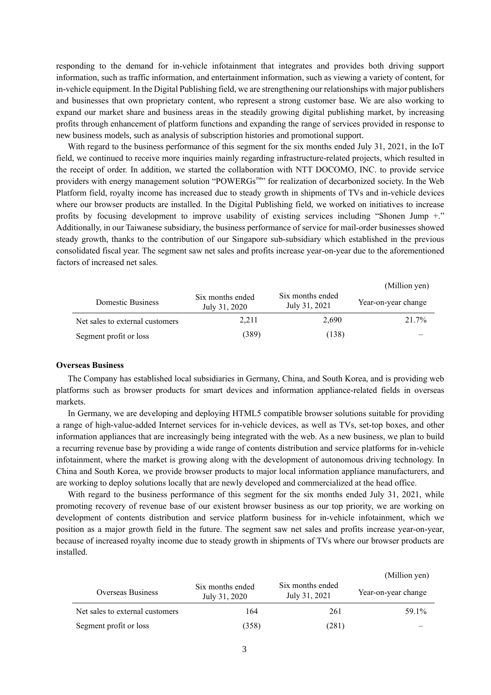responding to the demand for in-vehicle infotainment that integrates and provides both driving support information, such as traffic information, and entertainment information, such as viewing a variety of content, for in-vehicle equipment. In the Digital Publishing field, we are strengthening our relationships with major publishers and businesses that own proprietary content, who represent a strong customer base. We are also working to expand our market share and business areas in the steadily growing digital publishing market, by increasing profits through enhancement of platform functions and expanding the range of services provided in response to new business models, such as analysis of subscription histories and promotional support.

With regard to the business performance of this segment for the six months ended July 31, 2021, in the IoT field, we continued to receive more inquiries mainly regarding infrastructure-related projects, which resulted in the receipt of order. In addition, we started the collaboration with NTT DOCOMO, INC. to provide service providers with energy management solution "POWERGs™" for realization of decarbonized society. In the Web Platform field, royalty income has increased due to steady growth in shipments of TVs and in-vehicle devices where our browser products are installed. In the Digital Publishing field, we worked on initiatives to increase profits by focusing development to improve usability of existing services including "Shonen Jump +." Additionally, in our Taiwanese subsidiary, the business performance of service for mail-order businesses showed steady growth, thanks to the contribution of our Singapore sub-subsidiary which established in the previous consolidated fiscal year. The segment saw net sales and profits increase year-on-year due to the aforementioned factors of increased net sales.

|                                 |                                   |                                   | (Million yen)       |
|---------------------------------|-----------------------------------|-----------------------------------|---------------------|
| Domestic Business               | Six months ended<br>July 31, 2020 | Six months ended<br>July 31, 2021 | Year-on-year change |
| Net sales to external customers | 2,211                             | 2,690                             | 21.7%               |
| Segment profit or loss          | (389)                             | (138)                             |                     |

#### **Overseas Business**

The Company has established local subsidiaries in Germany, China, and South Korea, and is providing web platforms such as browser products for smart devices and information appliance-related fields in overseas markets.

In Germany, we are developing and deploying HTML5 compatible browser solutions suitable for providing a range of high-value-added Internet services for in-vehicle devices, as well as TVs, set-top boxes, and other information appliances that are increasingly being integrated with the web. As a new business, we plan to build a recurring revenue base by providing a wide range of contents distribution and service platforms for in-vehicle infotainment, where the market is growing along with the development of autonomous driving technology. In China and South Korea, we provide browser products to major local information appliance manufacturers, and are working to deploy solutions locally that are newly developed and commercialized at the head office.

With regard to the business performance of this segment for the six months ended July 31, 2021, while promoting recovery of revenue base of our existent browser business as our top priority, we are working on development of contents distribution and service platform business for in-vehicle infotainment, which we position as a major growth field in the future. The segment saw net sales and profits increase year-on-year, because of increased royalty income due to steady growth in shipments of TVs where our browser products are installed.

|                                 |                                   |                                   | (Million yen)       |
|---------------------------------|-----------------------------------|-----------------------------------|---------------------|
| Overseas Business               | Six months ended<br>July 31, 2020 | Six months ended<br>July 31, 2021 | Year-on-year change |
| Net sales to external customers | 164                               | 261                               | 59.1%               |
| Segment profit or loss          | (358)                             | (281)                             |                     |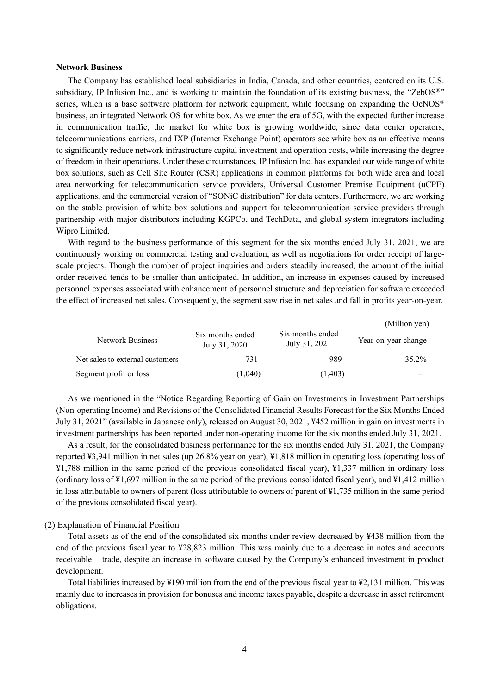### **Network Business**

The Company has established local subsidiaries in India, Canada, and other countries, centered on its U.S. subsidiary, IP Infusion Inc., and is working to maintain the foundation of its existing business, the "ZebOS®" series, which is a base software platform for network equipment, while focusing on expanding the OcNOS® business, an integrated Network OS for white box. As we enter the era of 5G, with the expected further increase in communication traffic, the market for white box is growing worldwide, since data center operators, telecommunications carriers, and IXP (Internet Exchange Point) operators see white box as an effective means to significantly reduce network infrastructure capital investment and operation costs, while increasing the degree of freedom in their operations. Under these circumstances, IP Infusion Inc. has expanded our wide range of white box solutions, such as Cell Site Router (CSR) applications in common platforms for both wide area and local area networking for telecommunication service providers, Universal Customer Premise Equipment (uCPE) applications, and the commercial version of "SONiC distribution" for data centers. Furthermore, we are working on the stable provision of white box solutions and support for telecommunication service providers through partnership with major distributors including KGPCo, and TechData, and global system integrators including Wipro Limited.

With regard to the business performance of this segment for the six months ended July 31, 2021, we are continuously working on commercial testing and evaluation, as well as negotiations for order receipt of largescale projects. Though the number of project inquiries and orders steadily increased, the amount of the initial order received tends to be smaller than anticipated. In addition, an increase in expenses caused by increased personnel expenses associated with enhancement of personnel structure and depreciation for software exceeded the effect of increased net sales. Consequently, the segment saw rise in net sales and fall in profits year-on-year.

|                                 |                                   |                                   | (Million yen)       |
|---------------------------------|-----------------------------------|-----------------------------------|---------------------|
| <b>Network Business</b>         | Six months ended<br>July 31, 2020 | Six months ended<br>July 31, 2021 | Year-on-year change |
| Net sales to external customers | 731                               | 989                               | 35.2%               |
| Segment profit or loss          | (1,040)                           | (1,403)                           |                     |

As we mentioned in the "Notice Regarding Reporting of Gain on Investments in Investment Partnerships (Non-operating Income) and Revisions of the Consolidated Financial Results Forecast for the Six Months Ended July 31, 2021" (available in Japanese only), released on August 30, 2021, ¥452 million in gain on investments in investment partnerships has been reported under non-operating income for the six months ended July 31, 2021.

As a result, for the consolidated business performance for the six months ended July 31, 2021, the Company reported ¥3,941 million in net sales (up 26.8% year on year), ¥1,818 million in operating loss (operating loss of ¥1,788 million in the same period of the previous consolidated fiscal year), ¥1,337 million in ordinary loss (ordinary loss of ¥1,697 million in the same period of the previous consolidated fiscal year), and ¥1,412 million in loss attributable to owners of parent (loss attributable to owners of parent of ¥1,735 million in the same period of the previous consolidated fiscal year).

### (2) Explanation of Financial Position

Total assets as of the end of the consolidated six months under review decreased by ¥438 million from the end of the previous fiscal year to ¥28,823 million. This was mainly due to a decrease in notes and accounts receivable – trade, despite an increase in software caused by the Company's enhanced investment in product development.

Total liabilities increased by ¥190 million from the end of the previous fiscal year to ¥2,131 million. This was mainly due to increases in provision for bonuses and income taxes payable, despite a decrease in asset retirement obligations.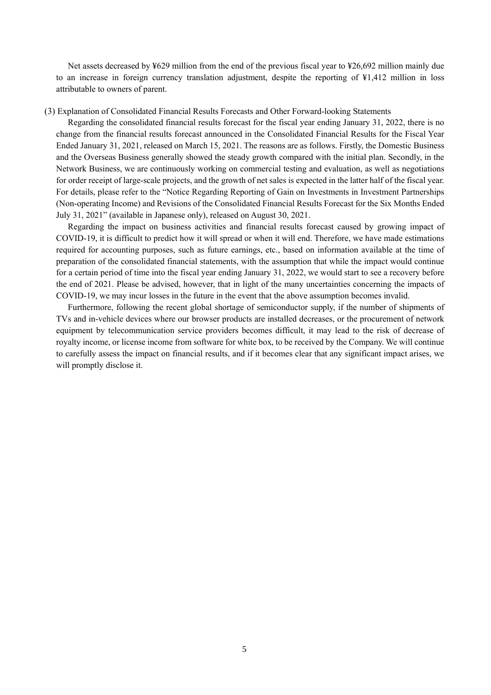Net assets decreased by ¥629 million from the end of the previous fiscal year to ¥26,692 million mainly due to an increase in foreign currency translation adjustment, despite the reporting of ¥1,412 million in loss attributable to owners of parent.

### (3) Explanation of Consolidated Financial Results Forecasts and Other Forward-looking Statements

Regarding the consolidated financial results forecast for the fiscal year ending January 31, 2022, there is no change from the financial results forecast announced in the Consolidated Financial Results for the Fiscal Year Ended January 31, 2021, released on March 15, 2021. The reasons are as follows. Firstly, the Domestic Business and the Overseas Business generally showed the steady growth compared with the initial plan. Secondly, in the Network Business, we are continuously working on commercial testing and evaluation, as well as negotiations for order receipt of large-scale projects, and the growth of net sales is expected in the latter half of the fiscal year. For details, please refer to the "Notice Regarding Reporting of Gain on Investments in Investment Partnerships (Non-operating Income) and Revisions of the Consolidated Financial Results Forecast for the Six Months Ended July 31, 2021" (available in Japanese only), released on August 30, 2021.

Regarding the impact on business activities and financial results forecast caused by growing impact of COVID-19, it is difficult to predict how it will spread or when it will end. Therefore, we have made estimations required for accounting purposes, such as future earnings, etc., based on information available at the time of preparation of the consolidated financial statements, with the assumption that while the impact would continue for a certain period of time into the fiscal year ending January 31, 2022, we would start to see a recovery before the end of 2021. Please be advised, however, that in light of the many uncertainties concerning the impacts of COVID-19, we may incur losses in the future in the event that the above assumption becomes invalid.

Furthermore, following the recent global shortage of semiconductor supply, if the number of shipments of TVs and in-vehicle devices where our browser products are installed decreases, or the procurement of network equipment by telecommunication service providers becomes difficult, it may lead to the risk of decrease of royalty income, or license income from software for white box, to be received by the Company. We will continue to carefully assess the impact on financial results, and if it becomes clear that any significant impact arises, we will promptly disclose it.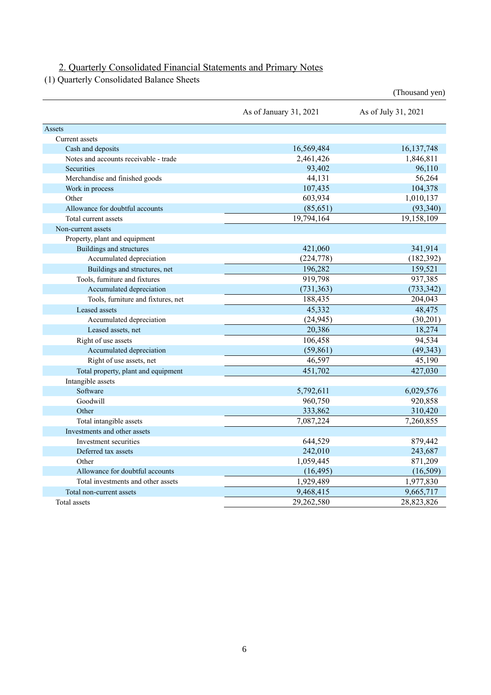# 2. Quarterly Consolidated Financial Statements and Primary Notes

(1) Quarterly Consolidated Balance Sheets

|                                       |                        | (Thousand yen)      |
|---------------------------------------|------------------------|---------------------|
|                                       | As of January 31, 2021 | As of July 31, 2021 |
| Assets                                |                        |                     |
| Current assets                        |                        |                     |
| Cash and deposits                     | 16,569,484             | 16, 137, 748        |
| Notes and accounts receivable - trade | 2,461,426              | 1,846,811           |
| Securities                            | 93,402                 | 96,110              |
| Merchandise and finished goods        | 44,131                 | 56,264              |
| Work in process                       | 107,435                | 104,378             |
| Other                                 | 603,934                | 1,010,137           |
| Allowance for doubtful accounts       | (85, 651)              | (93, 340)           |
| Total current assets                  | 19,794,164             | 19,158,109          |
| Non-current assets                    |                        |                     |
| Property, plant and equipment         |                        |                     |
| Buildings and structures              | 421,060                | 341,914             |
| Accumulated depreciation              | (224, 778)             | (182, 392)          |
| Buildings and structures, net         | 196,282                | 159,521             |
| Tools, furniture and fixtures         | 919,798                | 937,385             |
| Accumulated depreciation              | (731, 363)             | (733, 342)          |
| Tools, furniture and fixtures, net    | 188,435                | 204,043             |
| Leased assets                         | 45,332                 | 48,475              |
| Accumulated depreciation              | (24, 945)              | (30,201)            |
| Leased assets, net                    | 20,386                 | 18,274              |
| Right of use assets                   | 106,458                | 94,534              |
| Accumulated depreciation              | (59, 861)              | (49, 343)           |
| Right of use assets, net              | 46,597                 | 45,190              |
| Total property, plant and equipment   | 451,702                | 427,030             |
| Intangible assets                     |                        |                     |
| Software                              | 5,792,611              | 6,029,576           |
| Goodwill                              | 960,750                | 920,858             |
| Other                                 | 333,862                | 310,420             |
| Total intangible assets               | 7,087,224              | 7,260,855           |
| Investments and other assets          |                        |                     |
| Investment securities                 | 644,529                | 879,442             |
| Deferred tax assets                   | 242,010                | 243,687             |
| Other                                 | 1,059,445              | 871,209             |
| Allowance for doubtful accounts       | (16, 495)              | (16,509)            |
| Total investments and other assets    | 1,929,489              | 1,977,830           |
| Total non-current assets              | 9,468,415              | 9,665,717           |
| Total assets                          | 29,262,580             | 28,823,826          |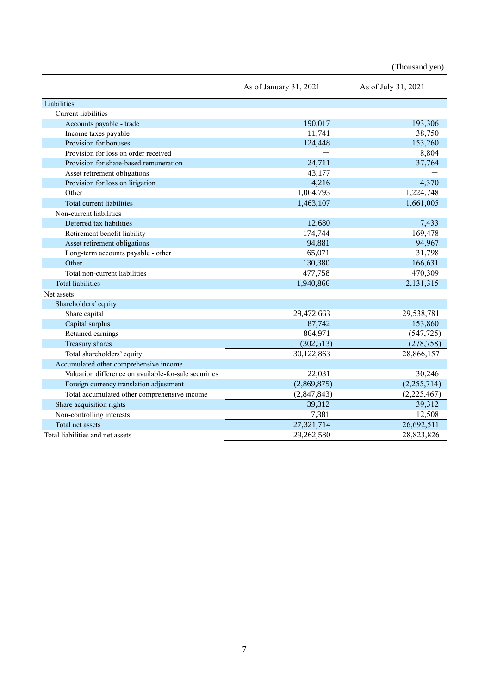(Thousand yen)

|                                                       | As of January 31, 2021 | As of July 31, 2021 |
|-------------------------------------------------------|------------------------|---------------------|
| Liabilities                                           |                        |                     |
| Current liabilities                                   |                        |                     |
| Accounts payable - trade                              | 190,017                | 193,306             |
| Income taxes payable                                  | 11,741                 | 38,750              |
| Provision for bonuses                                 | 124,448                | 153,260             |
| Provision for loss on order received                  |                        | 8,804               |
| Provision for share-based remuneration                | 24,711                 | 37,764              |
| Asset retirement obligations                          | 43,177                 |                     |
| Provision for loss on litigation                      | 4,216                  | 4,370               |
| Other                                                 | 1,064,793              | 1,224,748           |
| Total current liabilities                             | 1,463,107              | 1,661,005           |
| Non-current liabilities                               |                        |                     |
| Deferred tax liabilities                              | 12,680                 | 7,433               |
| Retirement benefit liability                          | 174,744                | 169,478             |
| Asset retirement obligations                          | 94,881                 | 94,967              |
| Long-term accounts payable - other                    | 65,071                 | 31,798              |
| Other                                                 | 130,380                | 166,631             |
| Total non-current liabilities                         | 477,758                | 470,309             |
| <b>Total liabilities</b>                              | 1,940,866              | 2,131,315           |
| Net assets                                            |                        |                     |
| Shareholders' equity                                  |                        |                     |
| Share capital                                         | 29,472,663             | 29,538,781          |
| Capital surplus                                       | 87,742                 | 153,860             |
| Retained earnings                                     | 864,971                | (547, 725)          |
| Treasury shares                                       | (302, 513)             | (278, 758)          |
| Total shareholders' equity                            | 30,122,863             | 28,866,157          |
| Accumulated other comprehensive income                |                        |                     |
| Valuation difference on available-for-sale securities | 22,031                 | 30,246              |
| Foreign currency translation adjustment               | (2,869,875)            | (2,255,714)         |
| Total accumulated other comprehensive income          | (2,847,843)            | (2,225,467)         |
| Share acquisition rights                              | 39,312                 | 39,312              |
| Non-controlling interests                             | 7,381                  | 12,508              |
| Total net assets                                      | 27,321,714             | 26,692,511          |
| Total liabilities and net assets                      | 29,262,580             | 28,823,826          |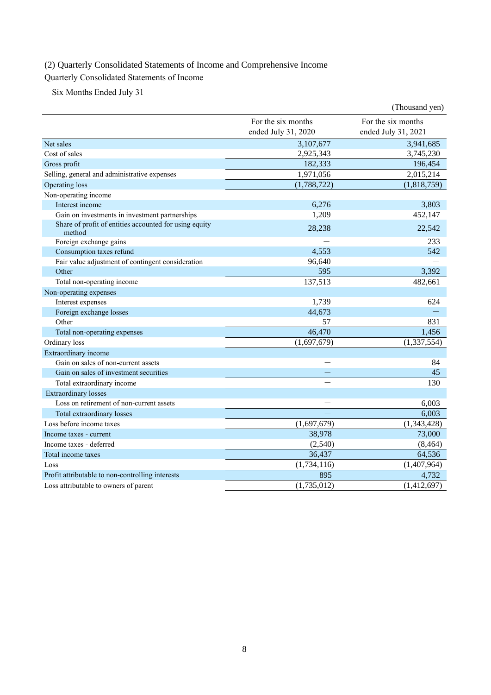# (2) Quarterly Consolidated Statements of Income and Comprehensive Income

# Quarterly Consolidated Statements of Income

Six Months Ended July 31

|                                                                  |                                           | (Thousand yen)                            |
|------------------------------------------------------------------|-------------------------------------------|-------------------------------------------|
|                                                                  | For the six months<br>ended July 31, 2020 | For the six months<br>ended July 31, 2021 |
| Net sales                                                        | 3,107,677                                 | 3,941,685                                 |
| Cost of sales                                                    | 2,925,343                                 | 3,745,230                                 |
| Gross profit                                                     | 182,333                                   | 196,454                                   |
| Selling, general and administrative expenses                     | 1,971,056                                 | 2,015,214                                 |
| Operating loss                                                   | (1,788,722)                               | (1,818,759)                               |
| Non-operating income                                             |                                           |                                           |
| Interest income                                                  | 6,276                                     | 3,803                                     |
| Gain on investments in investment partnerships                   | 1,209                                     | 452,147                                   |
| Share of profit of entities accounted for using equity<br>method | 28,238                                    | 22,542                                    |
| Foreign exchange gains                                           |                                           | 233                                       |
| Consumption taxes refund                                         | 4,553                                     | 542                                       |
| Fair value adjustment of contingent consideration                | 96,640                                    |                                           |
| Other                                                            | 595                                       | 3,392                                     |
| Total non-operating income                                       | 137,513                                   | 482,661                                   |
| Non-operating expenses                                           |                                           |                                           |
| Interest expenses                                                | 1,739                                     | 624                                       |
| Foreign exchange losses                                          | 44,673                                    |                                           |
| Other                                                            | 57                                        | 831                                       |
| Total non-operating expenses                                     | 46,470                                    | 1.456                                     |
| Ordinary loss                                                    | (1,697,679)                               | (1, 337, 554)                             |
| Extraordinary income                                             |                                           |                                           |
| Gain on sales of non-current assets                              |                                           | 84                                        |
| Gain on sales of investment securities                           |                                           | 45                                        |
| Total extraordinary income                                       |                                           | 130                                       |
| <b>Extraordinary</b> losses                                      |                                           |                                           |
| Loss on retirement of non-current assets                         |                                           | 6,003                                     |
| Total extraordinary losses                                       |                                           | 6,003                                     |
| Loss before income taxes                                         | (1,697,679)                               | (1,343,428)                               |
| Income taxes - current                                           | 38,978                                    | 73,000                                    |
| Income taxes - deferred                                          | (2,540)                                   | (8, 464)                                  |
| Total income taxes                                               | 36,437                                    | 64,536                                    |
| Loss                                                             | (1,734,116)                               | (1,407,964)                               |
| Profit attributable to non-controlling interests                 | 895                                       | 4,732                                     |
| Loss attributable to owners of parent                            | (1,735,012)                               | (1,412,697)                               |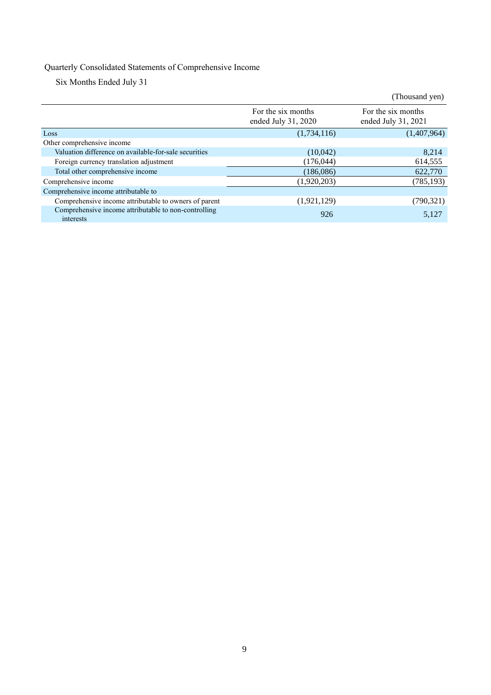# Quarterly Consolidated Statements of Comprehensive Income

Six Months Ended July 31

|                                                                   |                                           | (Thousand yen)                            |
|-------------------------------------------------------------------|-------------------------------------------|-------------------------------------------|
|                                                                   | For the six months<br>ended July 31, 2020 | For the six months<br>ended July 31, 2021 |
| Loss                                                              | (1,734,116)                               | (1,407,964)                               |
| Other comprehensive income                                        |                                           |                                           |
| Valuation difference on available-for-sale securities             | (10,042)                                  | 8.214                                     |
| Foreign currency translation adjustment                           | (176,044)                                 | 614,555                                   |
| Total other comprehensive income                                  | (186, 086)                                | 622,770                                   |
| Comprehensive income                                              | (1,920,203)                               | (785, 193)                                |
| Comprehensive income attributable to                              |                                           |                                           |
| Comprehensive income attributable to owners of parent             | (1,921,129)                               | (790, 321)                                |
| Comprehensive income attributable to non-controlling<br>interests | 926                                       | 5,127                                     |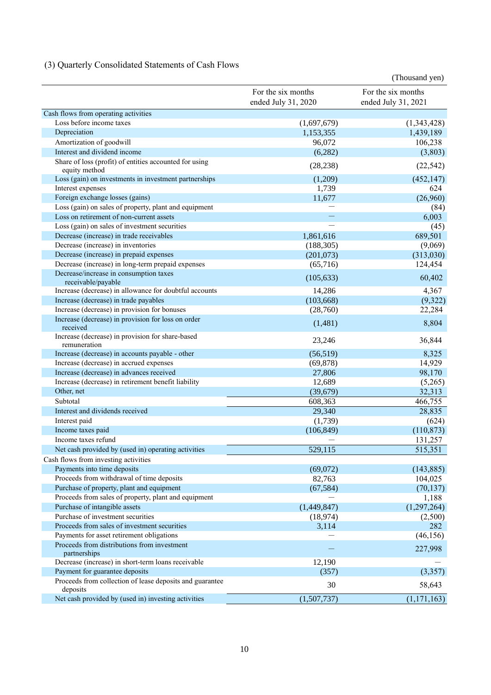# (3) Quarterly Consolidated Statements of Cash Flows

|                                                                              |                     | (Thousand yen)      |
|------------------------------------------------------------------------------|---------------------|---------------------|
|                                                                              | For the six months  | For the six months  |
|                                                                              | ended July 31, 2020 | ended July 31, 2021 |
| Cash flows from operating activities                                         |                     |                     |
| Loss before income taxes                                                     | (1,697,679)         | (1,343,428)         |
| Depreciation                                                                 | 1,153,355           | 1,439,189           |
| Amortization of goodwill                                                     | 96,072              | 106,238             |
| Interest and dividend income                                                 | (6, 282)            | (3,803)             |
| Share of loss (profit) of entities accounted for using                       | (28, 238)           | (22, 542)           |
| equity method                                                                |                     |                     |
| Loss (gain) on investments in investment partnerships                        | (1,209)             | (452, 147)          |
| Interest expenses                                                            | 1,739               | 624                 |
| Foreign exchange losses (gains)                                              | 11,677              | (26,960)            |
| Loss (gain) on sales of property, plant and equipment                        |                     | (84)                |
| Loss on retirement of non-current assets                                     |                     | 6,003               |
| Loss (gain) on sales of investment securities                                |                     | (45)                |
| Decrease (increase) in trade receivables                                     | 1,861,616           | 689,501             |
| Decrease (increase) in inventories                                           | (188, 305)          | (9,069)             |
| Decrease (increase) in prepaid expenses                                      | (201,073)           | (313,030)           |
| Decrease (increase) in long-term prepaid expenses                            | (65,716)            | 124,454             |
| Decrease/increase in consumption taxes                                       | (105, 633)          | 60,402              |
| receivable/payable<br>Increase (decrease) in allowance for doubtful accounts | 14,286              | 4,367               |
| Increase (decrease) in trade payables                                        | (103, 668)          | (9,322)             |
| Increase (decrease) in provision for bonuses                                 | (28,760)            | 22,284              |
| Increase (decrease) in provision for loss on order                           |                     |                     |
| received                                                                     | (1,481)             | 8,804               |
| Increase (decrease) in provision for share-based<br>remuneration             | 23,246              | 36,844              |
| Increase (decrease) in accounts payable - other                              | (56, 519)           | 8,325               |
| Increase (decrease) in accrued expenses                                      | (69, 878)           | 14,929              |
| Increase (decrease) in advances received                                     | 27,806              | 98,170              |
| Increase (decrease) in retirement benefit liability                          | 12,689              | (5,265)             |
| Other, net                                                                   | (39, 679)           | 32,313              |
| Subtotal                                                                     | 608,363             | 466,755             |
| Interest and dividends received                                              | 29,340              | 28,835              |
| Interest paid                                                                | (1,739)             | (624)               |
| Income taxes paid                                                            | (106, 849)          | (110, 873)          |
| Income taxes refund                                                          |                     | 131,257             |
| Net cash provided by (used in) operating activities                          | 529,115             | 515,351             |
| Cash flows from investing activities                                         |                     |                     |
| Payments into time deposits                                                  | (69,072)            | (143, 885)          |
| Proceeds from withdrawal of time deposits                                    | 82,763              | 104,025             |
| Purchase of property, plant and equipment                                    | (67, 584)           | (70, 137)           |
| Proceeds from sales of property, plant and equipment                         |                     | 1,188               |
| Purchase of intangible assets                                                | (1,449,847)         | (1,297,264)         |
| Purchase of investment securities                                            | (18,974)            | (2,500)             |
| Proceeds from sales of investment securities                                 | 3,114               | 282                 |
| Payments for asset retirement obligations                                    |                     | (46, 156)           |
| Proceeds from distributions from investment<br>partnerships                  |                     | 227,998             |
| Decrease (increase) in short-term loans receivable                           | 12,190              |                     |
| Payment for guarantee deposits                                               | (357)               | (3,357)             |
| Proceeds from collection of lease deposits and guarantee                     | 30                  | 58,643              |
| deposits                                                                     |                     |                     |
| Net cash provided by (used in) investing activities                          | (1,507,737)         | (1, 171, 163)       |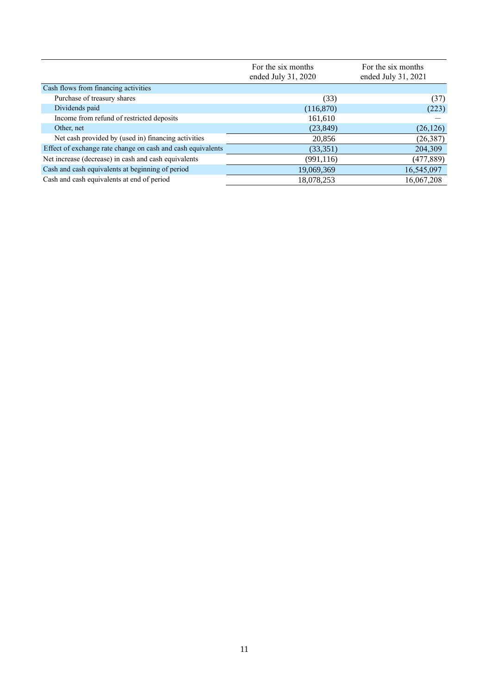|                                                             | For the six months<br>ended July 31, 2020 | For the six months<br>ended July 31, 2021 |  |
|-------------------------------------------------------------|-------------------------------------------|-------------------------------------------|--|
| Cash flows from financing activities                        |                                           |                                           |  |
| Purchase of treasury shares                                 | (33)                                      | (37)                                      |  |
| Dividends paid                                              | (116,870)                                 | (223)                                     |  |
| Income from refund of restricted deposits                   | 161,610                                   |                                           |  |
| Other, net                                                  | (23, 849)                                 | (26, 126)                                 |  |
| Net cash provided by (used in) financing activities         | 20,856                                    | (26, 387)                                 |  |
| Effect of exchange rate change on cash and cash equivalents | (33,351)                                  | 204,309                                   |  |
| Net increase (decrease) in cash and cash equivalents        | (991, 116)                                | (477, 889)                                |  |
| Cash and cash equivalents at beginning of period            | 19,069,369                                | 16,545,097                                |  |
| Cash and cash equivalents at end of period                  | 18,078,253                                | 16,067,208                                |  |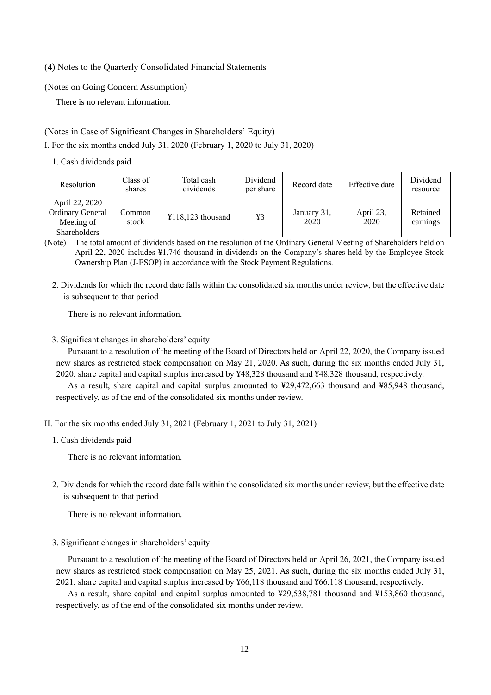### (4) Notes to the Quarterly Consolidated Financial Statements

### (Notes on Going Concern Assumption)

There is no relevant information.

## (Notes in Case of Significant Changes in Shareholders' Equity)

I. For the six months ended July 31, 2020 (February 1, 2020 to July 31, 2020)

### 1. Cash dividends paid

| Resolution                                                                     | Class of<br>shares | Total cash<br>dividends | Dividend<br>per share | Record date         | Effective date    | Dividend<br>resource |
|--------------------------------------------------------------------------------|--------------------|-------------------------|-----------------------|---------------------|-------------------|----------------------|
| April 22, 2020<br><b>Ordinary General</b><br>Meeting of<br><b>Shareholders</b> | Common<br>stock    | $¥118,123$ thousand     | ¥3                    | January 31,<br>2020 | April 23,<br>2020 | Retained<br>earnings |

(Note) The total amount of dividends based on the resolution of the Ordinary General Meeting of Shareholders held on April 22, 2020 includes ¥1,746 thousand in dividends on the Company's shares held by the Employee Stock Ownership Plan (J-ESOP) in accordance with the Stock Payment Regulations.

2. Dividends for which the record date falls within the consolidated six months under review, but the effective date is subsequent to that period

There is no relevant information.

3. Significant changes in shareholders' equity

Pursuant to a resolution of the meeting of the Board of Directors held on April 22, 2020, the Company issued new shares as restricted stock compensation on May 21, 2020. As such, during the six months ended July 31, 2020, share capital and capital surplus increased by ¥48,328 thousand and ¥48,328 thousand, respectively.

As a result, share capital and capital surplus amounted to ¥29,472,663 thousand and ¥85,948 thousand, respectively, as of the end of the consolidated six months under review.

- II. For the six months ended July 31, 2021 (February 1, 2021 to July 31, 2021)
	- 1. Cash dividends paid

There is no relevant information.

2. Dividends for which the record date falls within the consolidated six months under review, but the effective date is subsequent to that period

There is no relevant information.

3. Significant changes in shareholders' equity

Pursuant to a resolution of the meeting of the Board of Directors held on April 26, 2021, the Company issued new shares as restricted stock compensation on May 25, 2021. As such, during the six months ended July 31, 2021, share capital and capital surplus increased by ¥66,118 thousand and ¥66,118 thousand, respectively.

As a result, share capital and capital surplus amounted to ¥29,538,781 thousand and ¥153,860 thousand, respectively, as of the end of the consolidated six months under review.